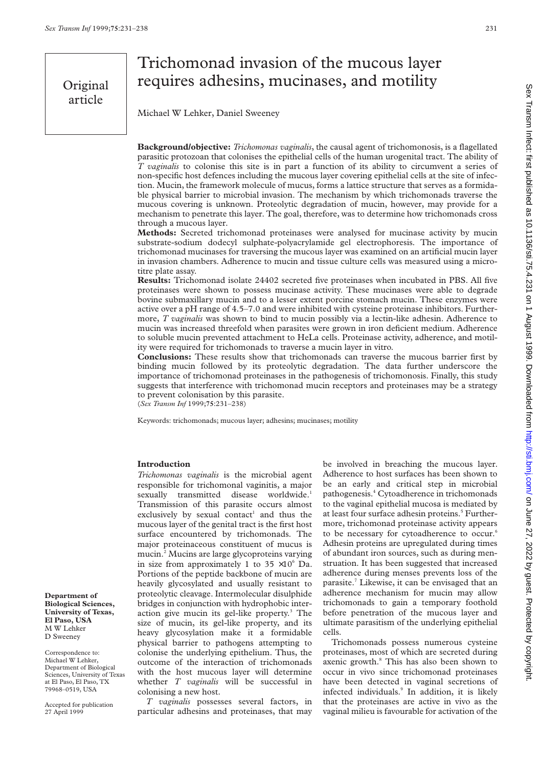# Trichomonad invasion of the mucous layer requires adhesins, mucinases, and motility

Michael W Lehker, Daniel Sweeney

**Background/objective:** *Trichomonas vaginalis*, the causal agent of trichomonosis, is a flagellated parasitic protozoan that colonises the epithelial cells of the human urogenital tract. The ability of *T vaginalis* to colonise this site is in part a function of its ability to circumvent a series of non-specific host defences including the mucous layer covering epithelial cells at the site of infection. Mucin, the framework molecule of mucus, forms a lattice structure that serves as a formidable physical barrier to microbial invasion. The mechanism by which trichomonads traverse the mucous covering is unknown. Proteolytic degradation of mucin, however, may provide for a mechanism to penetrate this layer. The goal, therefore, was to determine how trichomonads cross through a mucous layer.

**Methods:** Secreted trichomonad proteinases were analysed for mucinase activity by mucin substrate-sodium dodecyl sulphate-polyacrylamide gel electrophoresis. The importance of trichomonad mucinases for traversing the mucous layer was examined on an artificial mucin layer in invasion chambers. Adherence to mucin and tissue culture cells was measured using a microtitre plate assay.

**Results:** Trichomonad isolate 24402 secreted five proteinases when incubated in PBS. All five proteinases were shown to possess mucinase activity. These mucinases were able to degrade bovine submaxillary mucin and to a lesser extent porcine stomach mucin. These enzymes were active over a pH range of 4.5–7.0 and were inhibited with cysteine proteinase inhibitors. Furthermore, *T vaginalis* was shown to bind to mucin possibly via a lectin-like adhesin. Adherence to mucin was increased threefold when parasites were grown in iron deficient medium. Adherence to soluble mucin prevented attachment to HeLa cells. Proteinase activity, adherence, and motility were required for trichomonads to traverse a mucin layer in vitro.

**Conclusions:** These results show that trichomonads can traverse the mucous barrier first by binding mucin followed by its proteolytic degradation. The data further underscore the importance of trichomonad proteinases in the pathogenesis of trichomonosis. Finally, this study suggests that interference with trichomonad mucin receptors and proteinases may be a strategy to prevent colonisation by this parasite.

(*Sex Transm Inf* 1999;**75**:231–238)

Keywords: trichomonads; mucous layer; adhesins; mucinases; motility

# **Introduction**

*Trichomonas vaginalis* is the microbial agent responsible for trichomonal vaginitis, a major sexually transmitted disease worldwide.<sup>1</sup> Transmission of this parasite occurs almost exclusively by sexual contact<sup>1</sup> and thus the mucous layer of the genital tract is the first host surface encountered by trichomonads. The major proteinaceous constituent of mucus is mucin.2 Mucins are large glycoproteins varying in size from approximately 1 to  $35 \times 10^6$  Da. Portions of the peptide backbone of mucin are heavily glycosylated and usually resistant to proteolytic cleavage. Intermolecular disulphide bridges in conjunction with hydrophobic interaction give mucin its gel-like property. $3$  The size of mucin, its gel-like property, and its heavy glycosylation make it a formidable physical barrier to pathogens attempting to colonise the underlying epithelium. Thus, the outcome of the interaction of trichomonads with the host mucous layer will determine whether *T vaginalis* will be successful in colonising a new host.

*T vaginalis* possesses several factors, in particular adhesins and proteinases, that may

be involved in breaching the mucous layer. Adherence to host surfaces has been shown to be an early and critical step in microbial pathogenesis.4 Cytoadherence in trichomonads to the vaginal epithelial mucosa is mediated by at least four surface adhesin proteins.<sup>5</sup> Furthermore, trichomonad proteinase activity appears to be necessary for cytoadherence to occur.<sup>6</sup> Adhesin proteins are upregulated during times of abundant iron sources, such as during menstruation. It has been suggested that increased adherence during menses prevents loss of the parasite.7 Likewise, it can be envisaged that an adherence mechanism for mucin may allow trichomonads to gain a temporary foothold before penetration of the mucous layer and ultimate parasitism of the underlying epithelial cells.

Trichomonads possess numerous cysteine proteinases, most of which are secreted during axenic growth.<sup>8</sup> This has also been shown to occur in vivo since trichomonad proteinases have been detected in vaginal secretions of infected individuals.<sup>9</sup> In addition, it is likely that the proteinases are active in vivo as the vaginal milieu is favourable for activation of the

Sex Transm Infect: first published as 10.1136/sti.75.4.231 on 1 August 1999. Downloaded from http://sti.bmj.com/ on June 27, 2022 by guest. Protected by copyright Sex Transm Infect: first published as 10.11136/sti.75.4.231 on 1 August 1999. Downloaded from http://sti.bmj.com/ Sex Transm Infect: first published as 10.11136/sti.754.25. 2022 by guest

**Department of Biological Sciences, University of Texas, El Paso, USA** M W Lehker D Sweeney

Correspondence to: Michael W Lehker, Department of Biological Sciences, University of Texas at El Paso, El Paso, TX 79968–0519, USA

Accepted for publication 27 April 1999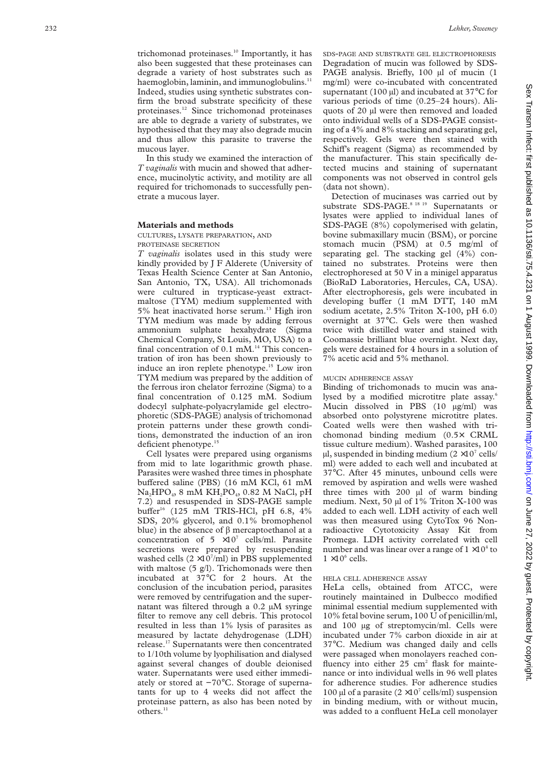trichomonad proteinases.<sup>10</sup> Importantly, it has also been suggested that these proteinases can degrade a variety of host substrates such as haemoglobin, laminin, and immunoglobulins.<sup>11</sup> Indeed, studies using synthetic substrates confirm the broad substrate specificity of these proteinases.12 Since trichomonad proteinases are able to degrade a variety of substrates, we hypothesised that they may also degrade mucin and thus allow this parasite to traverse the mucous layer.

In this study we examined the interaction of *T vaginalis* with mucin and showed that adherence, mucinolytic activity, and motility are all required for trichomonads to successfully penetrate a mucous layer.

#### **Materials and methods**

CULTURES, LYSATE PREPARATION, AND PROTEINASE SECRETION

*T vaginalis* isolates used in this study were kindly provided by J F Alderete (University of Texas Health Science Center at San Antonio, San Antonio, TX, USA). All trichomonads were cultured in trypticase-yeast extractmaltose (TYM) medium supplemented with 5% heat inactivated horse serum.<sup>13</sup> High iron TYM medium was made by adding ferrous ammonium sulphate hexahydrate (Sigma Chemical Company, St Louis, MO, USA) to a final concentration of 0.1 mM.<sup>14</sup> This concentration of iron has been shown previously to induce an iron replete phenotype.<sup>15</sup> Low iron TYM medium was prepared by the addition of the ferrous iron chelator ferrozine (Sigma) to a final concentration of 0.125 mM. Sodium dodecyl sulphate-polyacrylamide gel electrophoretic (SDS-PAGE) analysis of trichomonad protein patterns under these growth conditions, demonstrated the induction of an iron deficient phenotype. $<sup>1</sup>$ </sup>

Cell lysates were prepared using organisms from mid to late logarithmic growth phase. Parasites were washed three times in phosphate buffered saline (PBS) (16 mM KCl, 61 mM  $Na<sub>2</sub>HPO<sub>4</sub>$ , 8 mM  $KH<sub>2</sub>PO<sub>4</sub>$ , 0.82 M NaCl, pH 7.2) and resuspended in SDS-PAGE sample buffer<sup>16</sup> (125 mM TRIS-HCl, pH 6.8, 4% SDS, 20% glycerol, and 0.1% bromophenol blue) in the absence of  $\beta$  mercaptoethanol at a concentration of 5  $\times10^{7}$  cells/ml. Parasite secretions were prepared by resuspending washed cells  $(2 \times 10^7 \text{/ml})$  in PBS supplemented with maltose (5 g/l). Trichomonads were then incubated at 37°C for 2 hours. At the conclusion of the incubation period, parasites were removed by centrifugation and the supernatant was filtered through a 0.2 µM syringe filter to remove any cell debris. This protocol resulted in less than 1% lysis of parasites as measured by lactate dehydrogenase (LDH) release.17 Supernatants were then concentrated to 1/10th volume by lyophilisation and dialysed against several changes of double deionised water. Supernatants were used either immediately or stored at −70°C. Storage of supernatants for up to 4 weeks did not affect the proteinase pattern, as also has been noted by others.<sup>11</sup>

SDS-PAGE AND SUBSTRATE GEL ELECTROPHORESIS Degradation of mucin was followed by SDS-PAGE analysis. Briefly, 100 µl of mucin (1 mg/ml) were co-incubated with concentrated supernatant (100  $\mu$ l) and incubated at 37 $\rm{^{\circ}C}$  for various periods of time (0.25–24 hours). Aliquots of 20 µl were then removed and loaded onto individual wells of a SDS-PAGE consisting of a 4% and 8% stacking and separating gel, respectively. Gels were then stained with Schiff's reagent (Sigma) as recommended by the manufacturer. This stain specifically detected mucins and staining of supernatant components was not observed in control gels (data not shown).

Detection of mucinases was carried out by substrate SDS-PAGE.<sup>8 18 19</sup> Supernatants or lysates were applied to individual lanes of SDS-PAGE (8%) copolymerised with gelatin, bovine submaxillary mucin (BSM), or porcine stomach mucin (PSM) at 0.5 mg/ml of separating gel. The stacking gel (4%) contained no substrates. Proteins were then electrophoresed at 50 V in a minigel apparatus (BioRaD Laboratories, Hercules, CA, USA). After electrophoresis, gels were incubated in developing buffer (1 mM DTT, 140 mM sodium acetate, 2.5% Triton X-100, pH 6.0) overnight at 37°C. Gels were then washed twice with distilled water and stained with Coomassie brilliant blue overnight. Next day, gels were destained for 4 hours in a solution of 7% acetic acid and 5% methanol.

#### MUCIN ADHERENCE ASSAY

Binding of trichomonads to mucin was analysed by a modified microtitre plate assay.<sup>6</sup> Mucin dissolved in PBS (10 µg/ml) was absorbed onto polystyrene microtitre plates. Coated wells were then washed with trichomonad binding medium (0.5× CRML tissue culture medium). Washed parasites, 100  $\mu$ l, suspended in binding medium (2 × 10<sup>7</sup> cells/ ml) were added to each well and incubated at 37°C. After 45 minutes, unbound cells were removed by aspiration and wells were washed three times with 200 µl of warm binding medium. Next, 50 µl of 1% Triton X-100 was added to each well. LDH activity of each well was then measured using CytoTox 96 Nonradioactive Cytotoxicity Assay Kit from Promega. LDH activity correlated with cell number and was linear over a range of  $1 \times 10^4$  to  $1 \times 10^6$  cells.

#### HELA CELL ADHERENCE ASSAY

HeLa cells, obtained from ATCC, were routinely maintained in Dulbecco modified minimal essential medium supplemented with 10% fetal bovine serum, 100 U of penicillin/ml, and 100 µg of streptomycin/ml. Cells were incubated under 7% carbon dioxide in air at 37°C. Medium was changed daily and cells were passaged when monolayers reached confluency into either  $25 \text{ cm}^2$  flask for maintenance or into individual wells in 96 well plates for adherence studies. For adherence studies 100 µl of a parasite  $(2 \times 10^7 \text{ cells/ml})$  suspension in binding medium, with or without mucin, was added to a confluent HeLa cell monolayer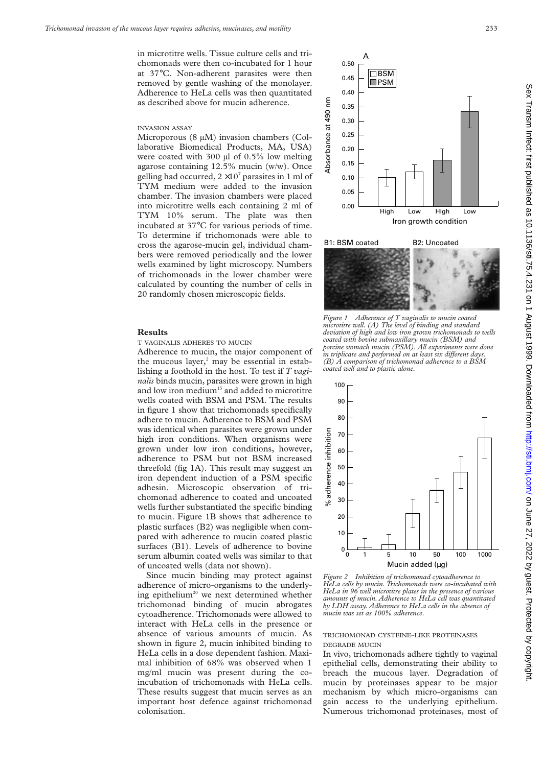in microtitre wells. Tissue culture cells and trichomonads were then co-incubated for 1 hour at 37°C. Non-adherent parasites were then removed by gentle washing of the monolayer. Adherence to HeLa cells was then quantitated as described above for mucin adherence.

#### INVASION ASSAY

Microporous (8 µM) invasion chambers (Collaborative Biomedical Products, MA, USA) were coated with 300 µl of 0.5% low melting agarose containing 12.5% mucin (w/w). Once gelling had occurred,  $2 \times 10^7$  parasites in 1 ml of TYM medium were added to the invasion chamber. The invasion chambers were placed into microtitre wells each containing 2 ml of TYM 10% serum. The plate was then incubated at 37°C for various periods of time. To determine if trichomonads were able to cross the agarose-mucin gel, individual chambers were removed periodically and the lower wells examined by light microscopy. Numbers of trichomonads in the lower chamber were calculated by counting the number of cells in 20 randomly chosen microscopic fields.

#### **Results**

T VAGINALIS ADHERES TO MUCIN

Adherence to mucin, the major component of the mucous layer, $2 \text{ may be essential in }$ establishing a foothold in the host. To test if *T vaginalis* binds mucin, parasites were grown in high and low iron medium<sup>15</sup> and added to microtitre wells coated with BSM and PSM. The results in figure 1 show that trichomonads specifically adhere to mucin. Adherence to BSM and PSM was identical when parasites were grown under high iron conditions. When organisms were grown under low iron conditions, however, adherence to PSM but not BSM increased threefold (fig 1A). This result may suggest an iron dependent induction of a PSM specific adhesin. Microscopic observation of trichomonad adherence to coated and uncoated wells further substantiated the specific binding to mucin. Figure 1B shows that adherence to plastic surfaces (B2) was negligible when compared with adherence to mucin coated plastic surfaces (B1). Levels of adherence to bovine serum albumin coated wells was similar to that of uncoated wells (data not shown).

Since mucin binding may protect against adherence of micro-organisms to the underlying epithelium<sup>20</sup> we next determined whether trichomonad binding of mucin abrogates cytoadherence. Trichomonads were allowed to interact with HeLa cells in the presence or absence of various amounts of mucin. As shown in figure 2, mucin inhibited binding to HeLa cells in a dose dependent fashion. Maximal inhibition of 68% was observed when 1 mg/ml mucin was present during the coincubation of trichomonads with HeLa cells. These results suggest that mucin serves as an important host defence against trichomonad colonisation.



*Figure 1 Adherence of T vaginalis to mucin coated microtitre well. (A) The level of binding and standard deviation of high and low iron grown trichomonads to wells coated with bovine submaxillary mucin (BSM) and porcine stomach mucin (PSM). All experiments were done* in triplicate and performed on at least six different days. *(B) A comparison of trichomonad adherence to a BSM coated well and to plastic alone.*



*Figure 2 Inhibition of trichomonad cytoadherence to HeLa cells by mucin. Trichomonads were co-incubated with HeLa in 96 well microtitre plates in the presence of various amounts of mucin. Adherence to HeLa cell was quantitated by LDH assay. Adherence to HeLa cells in the absence of mucin was set as 100% adherence.*

#### TRICHOMONAD CYSTEINE-LIKE PROTEINASES DEGRADE MUCIN

In vivo, trichomonads adhere tightly to vaginal epithelial cells, demonstrating their ability to breach the mucous layer. Degradation of mucin by proteinases appear to be major mechanism by which micro-organisms can gain access to the underlying epithelium. Numerous trichomonad proteinases, most of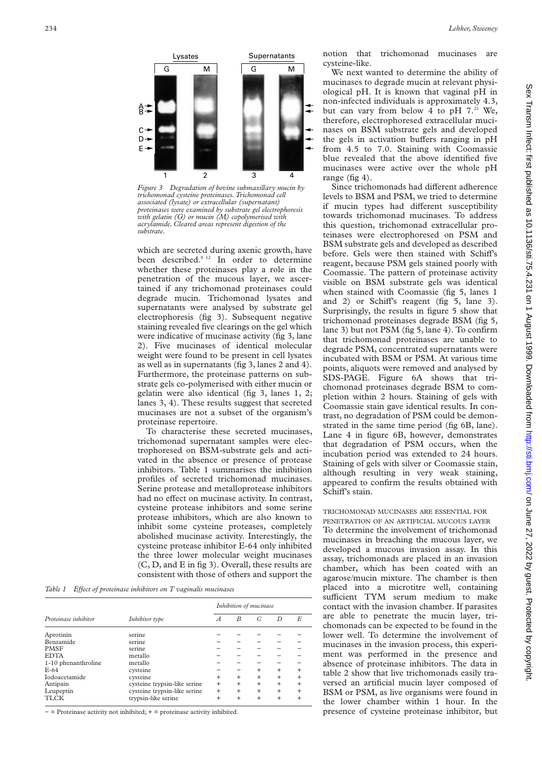

*Figure 3 Degradation of bovine submaxillary mucin by trichomonad cysteine proteinases. Trichomonad cell associated (lysate) or extracellular (supernatant) proteinases were examined by substrate gel electrophoresis with gelatin (G) or mucin (M) copolymerised with acrylamide. Cleared areas represent digestion of the substrate.*

which are secreted during axenic growth, have been described.<sup>8 12</sup> In order to determine whether these proteinases play a role in the penetration of the mucous layer, we ascertained if any trichomonad proteinases could degrade mucin. Trichomonad lysates and supernatants were analysed by substrate gel electrophoresis (fig 3). Subsequent negative staining revealed five clearings on the gel which were indicative of mucinase activity (fig 3, lane 2). Five mucinases of identical molecular weight were found to be present in cell lysates as well as in supernatants (fig 3, lanes 2 and 4). Furthermore, the proteinase patterns on substrate gels co-polymerised with either mucin or gelatin were also identical (fig 3, lanes 1, 2; lanes 3, 4). These results suggest that secreted mucinases are not a subset of the organism's proteinase repertoire.

To characterise these secreted mucinases, trichomonad supernatant samples were electrophoresed on BSM-substrate gels and activated in the absence or presence of protease inhibitors. Table 1 summarises the inhibition profiles of secreted trichomonad mucinases. Serine protease and metalloprotease inhibitors had no effect on mucinase activity. In contrast, cysteine protease inhibitors and some serine protease inhibitors, which are also known to inhibit some cysteine proteases, completely abolished mucinase activity. Interestingly, the cysteine protease inhibitor E-64 only inhibited the three lower molecular weight mucinases (C, D, and E in fig 3). Overall, these results are consistent with those of others and support the

*Table 1 Effect of proteinase inhibitors on T vaginalis mucinases* 

| Proteinase inhibitor |                              | Inhibition of mucinase |           |           |           |           |
|----------------------|------------------------------|------------------------|-----------|-----------|-----------|-----------|
|                      | Inhibitor type               | А                      | B         | G         | D         | E         |
| Aprotinin            | serine                       |                        |           |           |           |           |
| Benzamide            | serine                       |                        |           |           |           |           |
| <b>PMSF</b>          | serine                       |                        |           |           |           |           |
| <b>EDTA</b>          | metallo                      |                        |           |           |           |           |
| 1-10 phenanthroline  | metallo                      |                        |           |           |           |           |
| $E-64$               | cysteine                     |                        |           | $\ddot{}$ | $\ddot{}$ |           |
| Iodoacetamide        | cysteine                     | $\div$                 | $\pm$     | $\ddot{}$ | $\ddot{}$ | $\ddot{}$ |
| Antipain             | cysteine trypsin-like serine | $\ddot{}$              | $\ddot{}$ | $\ddot{}$ | $\ddot{}$ | $\ddot{}$ |
| Leupeptin            | cysteine trypsin-like serine | $\ddot{}$              | $\ddot{}$ | $\ddot{}$ | $\ddot{}$ |           |
| <b>TLCK</b>          | trypsin-like serine          | $\ddot{}$              | $\ddot{}$ | $\ddot{}$ | $\ddot{}$ |           |

− = Proteinase activity not inhibited; + = proteinase activity inhibited.

notion that trichomonad mucinases are cysteine-like.

We next wanted to determine the ability of mucinases to degrade mucin at relevant physiological pH. It is known that vaginal pH in non-infected individuals is approximately 4.3, but can vary from below 4 to pH  $7.^{21}$  We, therefore, electrophoresed extracellular mucinases on BSM substrate gels and developed the gels in activation buffers ranging in pH from 4.5 to 7.0. Staining with Coomassie blue revealed that the above identified five mucinases were active over the whole pH range (fig 4).

Since trichomonads had different adherence levels to BSM and PSM, we tried to determine if mucin types had different susceptibility towards trichomonad mucinases. To address this question, trichomonad extracellular proteinases were electrophoresed on PSM and BSM substrate gels and developed as described before. Gels were then stained with Schiff's reagent, because PSM gels stained poorly with Coomassie. The pattern of proteinase activity visible on BSM substrate gels was identical when stained with Coomassie (fig 5, lanes 1 and 2) or Schiff's reagent (fig  $5$ , lane 3). Surprisingly, the results in figure 5 show that trichomonad proteinases degrade BSM (fig 5, lane 3) but not PSM (fig 5, lane 4). To confirm that trichomonad proteinases are unable to degrade PSM, concentrated supernatants were incubated with BSM or PSM. At various time points, aliquots were removed and analysed by SDS-PAGE. Figure 6A shows that trichomonad proteinases degrade BSM to completion within 2 hours. Staining of gels with Coomassie stain gave identical results. In contrast, no degradation of PSM could be demonstrated in the same time period (fig 6B, lane). Lane 4 in figure 6B, however, demonstrates that degradation of PSM occurs, when the incubation period was extended to 24 hours. Staining of gels with silver or Coomassie stain, although resulting in very weak staining, appeared to confirm the results obtained with Schiff's stain.

## TRICHOMONAD MUCINASES ARE ESSENTIAL FOR

PENETRATION OF AN ARTIFICIAL MUCOUS LAYER To determine the involvement of trichomonad mucinases in breaching the mucous layer, we developed a mucous invasion assay. In this assay, trichomonads are placed in an invasion chamber, which has been coated with an agarose/mucin mixture. The chamber is then placed into a microtitre well, containing sufficient TYM serum medium to make contact with the invasion chamber. If parasites are able to penetrate the mucin layer, trichomonads can be expected to be found in the lower well. To determine the involvement of mucinases in the invasion process, this experiment was performed in the presence and absence of proteinase inhibitors. The data in table 2 show that live trichomonads easily traversed an artificial mucin layer composed of BSM or PSM, as live organisms were found in the lower chamber within 1 hour. In the presence of cysteine proteinase inhibitor, but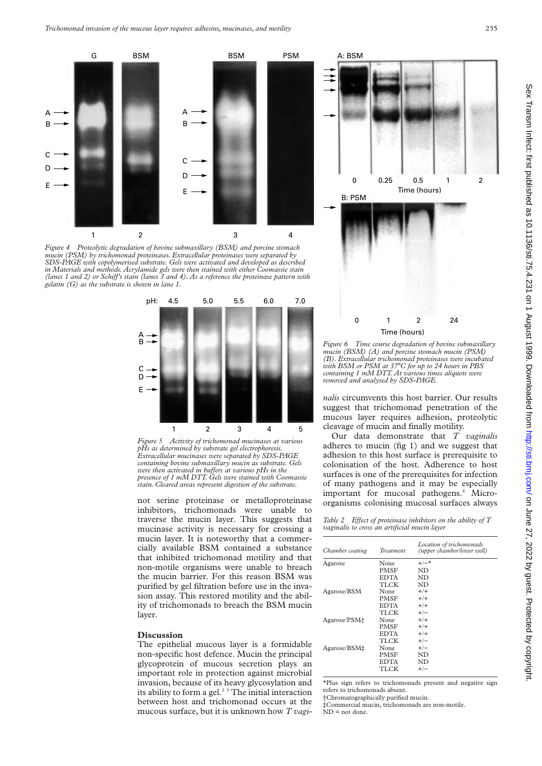

*Figure 4 Proteolytic degradation of bovine submaxillary (BSM) and porcine stomach mucin (PSM) by trichomonad proteinases. Extracellular proteinases were separated by SDS-PAGE with copolymerised substrate. Gels were activated and developed as described in Materials and methods. Acrylamide gels were then stained with either Coomassie stain (lanes 1 and 2) or SchiV's stain (lanes 3 and 4). As a reference the proteinase pattern with gelatin (G) as the substrate is shown in lane 1.*



*Figure 5 Activity of trichomonad mucinases at various pHs as determined by substrate gel electrophoresis. Extracellular mucinases were separated by SDS-PAGE containing bovine submaxillary mucin as substrate. Gels were then activated in buffers at various pHs in the presence of 1 mM DTT. Gels were stained with Coomassie stain. Cleared areas represent digestion of the substrate.*

not serine proteinase or metalloproteinase inhibitors, trichomonads were unable to traverse the mucin layer. This suggests that mucinase activity is necessary for crossing a mucin layer. It is noteworthy that a commercially available BSM contained a substance that inhibited trichomonad motility and that non-motile organisms were unable to breach the mucin barrier. For this reason BSM was purified by gel filtration before use in the invasion assay. This restored motility and the ability of trichomonads to breach the BSM mucin layer.

### **Discussion**

The epithelial mucous layer is a formidable non-specific host defence. Mucin the principal glycoprotein of mucous secretion plays an important role in protection against microbial invasion, because of its heavy glycosylation and its ability to form a gel.<sup>2 3</sup> The initial interaction between host and trichomonad occurs at the mucous surface, but it is unknown how *T vagi-*



*Figure 6 Time course degradation of bovine submaxillary mucin (BSM) (A) and porcine stomach mucin (PSM) (B). Extracellular trichomonad proteinases were incubated with BSM or PSM at 37*°*C for up to 24 hours in PBS containing 1 mM DTT. At various times aliquots were removed and analysed by SDS-PAGE.*

*nalis* circumvents this host barrier. Our results suggest that trichomonad penetration of the mucous layer requires adhesion, proteolytic cleavage of mucin and finally motility.

Our data demonstrate that *T vaginalis* adheres to mucin (fig 1) and we suggest that adhesion to this host surface is prerequisite to colonisation of the host. Adherence to host surfaces is one of the prerequisites for infection of many pathogens and it may be especially important for mucosal pathogens.<sup>4</sup> Microorganisms colonising mucosal surfaces always

*Table 2 Effect of proteinase inhibitors on the ability of T vaginalis to cross an artificial mucin layer*

| Chamber coating | <i>Treatment</i> | Location of trichomonads<br>(upper chamber/lower well) |
|-----------------|------------------|--------------------------------------------------------|
| Agarose         | None             | $+/-$ *                                                |
|                 | PMSF             | ND                                                     |
|                 | <b>EDTA</b>      | ND                                                     |
|                 | TI CK            | ND                                                     |
| Agarose/BSM     | None             | $+/+$                                                  |
|                 | <b>PMSF</b>      | $+/+$                                                  |
|                 | <b>EDTA</b>      | $+/+$                                                  |
|                 | TLCK             | $+/-$                                                  |
| Agarose/PSM+    | None             | $+/+$                                                  |
|                 | PMSF             | $+/+$                                                  |
|                 | <b>EDTA</b>      | $+/+$                                                  |
|                 | TLCK             | $+/-$                                                  |
| Agarose/BSM‡    | None             | $+/-$                                                  |
|                 | PMSF             | ND                                                     |
|                 | <b>EDTA</b>      | ND                                                     |
|                 | TLCK             | $+/-$                                                  |

\*Plus sign refers to trichomonads present and negative sign refers to trichomonads absent.

†Chromatographically purified mucin.

‡Commercial mucin, trichomonads are non-motile. ND = not done.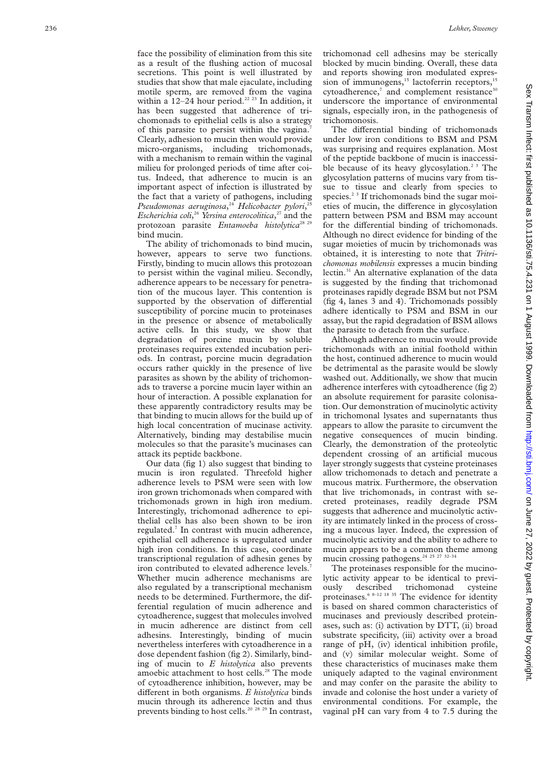face the possibility of elimination from this site as a result of the flushing action of mucosal secretions. This point is well illustrated by studies that show that male ejaculate, including motile sperm, are removed from the vagina within a  $12-24$  hour period.<sup>22 23</sup> In addition, it has been suggested that adherence of trichomonads to epithelial cells is also a strategy of this parasite to persist within the vagina.<sup>7</sup> Clearly, adhesion to mucin then would provide micro-organisms, including trichomonads, with a mechanism to remain within the vaginal milieu for prolonged periods of time after coitus. Indeed, that adherence to mucin is an important aspect of infection is illustrated by the fact that a variety of pathogens, including *Pseudomonas aeruginosa*, <sup>24</sup> *Helicobacter pylori*, 25 *Escherichia coli*, <sup>26</sup> *Yersina enterocolitica*, <sup>27</sup> and the protozoan parasite *Entamoeba histolytica*<sup>28</sup><sup>2</sup> bind mucin.

The ability of trichomonads to bind mucin, however, appears to serve two functions. Firstly, binding to mucin allows this protozoan to persist within the vaginal milieu. Secondly, adherence appears to be necessary for penetration of the mucous layer. This contention is supported by the observation of differential susceptibility of porcine mucin to proteinases in the presence or absence of metabolically active cells. In this study, we show that degradation of porcine mucin by soluble proteinases requires extended incubation periods. In contrast, porcine mucin degradation occurs rather quickly in the presence of live parasites as shown by the ability of trichomonads to traverse a porcine mucin layer within an hour of interaction. A possible explanation for these apparently contradictory results may be that binding to mucin allows for the build up of high local concentration of mucinase activity. Alternatively, binding may destabilise mucin molecules so that the parasite's mucinases can attack its peptide backbone.

Our data (fig 1) also suggest that binding to mucin is iron regulated. Threefold higher adherence levels to PSM were seen with low iron grown trichomonads when compared with trichomonads grown in high iron medium. Interestingly, trichomonad adherence to epithelial cells has also been shown to be iron regulated.<sup>7</sup> In contrast with mucin adherence, epithelial cell adherence is upregulated under high iron conditions. In this case, coordinate transcriptional regulation of adhesin genes by iron contributed to elevated adherence levels.<sup>7</sup> Whether mucin adherence mechanisms are also regulated by a transcriptional mechanism needs to be determined. Furthermore, the differential regulation of mucin adherence and cytoadherence, suggest that molecules involved in mucin adherence are distinct from cell adhesins. Interestingly, binding of mucin nevertheless interferes with cytoadherence in a dose dependent fashion (fig 2). Similarly, binding of mucin to *E histolytica* also prevents amoebic attachment to host cells.<sup>28</sup> The mode of cytoadherence inhibition, however, may be different in both organisms. *E histolytica* binds mucin through its adherence lectin and thus prevents binding to host cells.<sup>20</sup> <sup>28</sup> <sup>29</sup> In contrast,

trichomonad cell adhesins may be sterically blocked by mucin binding. Overall, these data and reports showing iron modulated expression of immunogens,<sup>15</sup> lactoferrin receptors,<sup>15</sup> cytoadherence, $7$  and complement resistance<sup>30</sup> underscore the importance of environmental signals, especially iron, in the pathogenesis of trichomonosis.

The differential binding of trichomonads under low iron conditions to BSM and PSM was surprising and requires explanation. Most of the peptide backbone of mucin is inaccessible because of its heavy glycosylation.<sup>23</sup> The glycosylation patterns of mucins vary from tissue to tissue and clearly from species to species.<sup>23</sup> If trichomonads bind the sugar moieties of mucin, the difference in glycosylation pattern between PSM and BSM may account for the differential binding of trichomonads. Although no direct evidence for binding of the sugar moieties of mucin by trichomonads was obtained, it is interesting to note that *Tritrichomonas mobilensis* expresses a mucin binding lectin. $31$  An alternative explanation of the data is suggested by the finding that trichomonad proteinases rapidly degrade BSM but not PSM (fig 4, lanes 3 and 4). Trichomonads possibly adhere identically to PSM and BSM in our assay, but the rapid degradation of BSM allows the parasite to detach from the surface.

Although adherence to mucin would provide trichomonads with an initial foothold within the host, continued adherence to mucin would be detrimental as the parasite would be slowly washed out. Additionally, we show that mucin adherence interferes with cytoadherence (fig 2) an absolute requirement for parasite colonisation. Our demonstration of mucinolytic activity in trichomonal lysates and supernatants thus appears to allow the parasite to circumvent the negative consequences of mucin binding. Clearly, the demonstration of the proteolytic dependent crossing of an artificial mucous layer strongly suggests that cysteine proteinases allow trichomonads to detach and penetrate a mucous matrix. Furthermore, the observation that live trichomonads, in contrast with secreted proteinases, readily degrade PSM suggests that adherence and mucinolytic activity are intimately linked in the process of crossing a mucous layer. Indeed, the expression of mucinolytic activity and the ability to adhere to mucin appears to be a common theme among mucin crossing pathogens.<sup>24</sup> <sup>25</sup> <sup>27</sup> <sup>32-34</sup>

The proteinases responsible for the mucinolytic activity appear to be identical to previously described trichomonad cysteine proteinases.6 8–12 18 35 The evidence for identity is based on shared common characteristics of mucinases and previously described proteinases, such as: (i) activation by DTT, (ii) broad substrate specificity, (iii) activity over a broad range of pH, (iv) identical inhibition profile, and (v) similar molecular weight. Some of these characteristics of mucinases make them uniquely adapted to the vaginal environment and may confer on the parasite the ability to invade and colonise the host under a variety of environmental conditions. For example, the vaginal pH can vary from 4 to 7.5 during the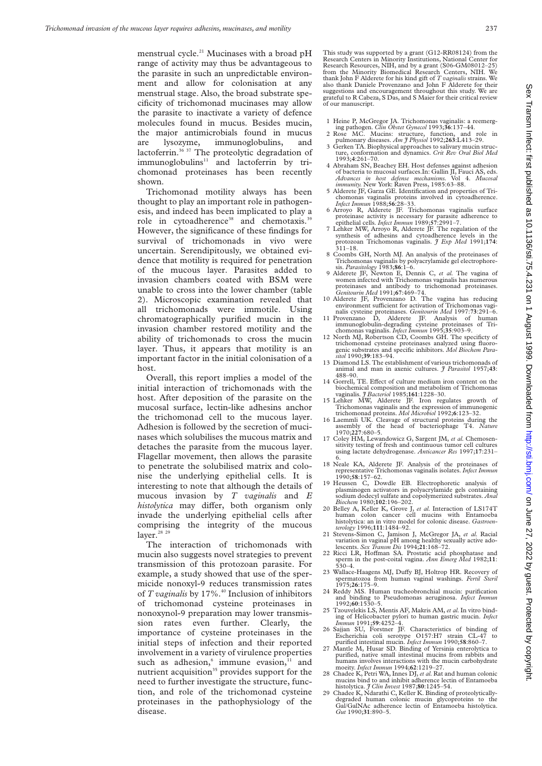menstrual cycle.<sup>21</sup> Mucinases with a broad pH range of activity may thus be advantageous to the parasite in such an unpredictable environment and allow for colonisation at any menstrual stage. Also, the broad substrate specificity of trichomonad mucinases may allow the parasite to inactivate a variety of defence molecules found in mucus. Besides mucin, the major antimicrobials found in mucus are lysozyme, immunoglobulins, and lactoferrin.36 37 The proteolytic degradation of immunoglobulins<sup>11</sup> and lactoferrin by trichomonad proteinases has been recently shown.

Trichomonad motility always has been thought to play an important role in pathogenesis, and indeed has been implicated to play a role in cytoadherence<sup>38</sup> and chemotaxis.<sup>39</sup> However, the significance of these findings for survival of trichomonads in vivo were uncertain. Serendipitously, we obtained evidence that motility is required for penetration of the mucous layer. Parasites added to invasion chambers coated with BSM were unable to cross into the lower chamber (table 2). Microscopic examination revealed that all trichomonads were immotile. Using chromatographically purified mucin in the invasion chamber restored motility and the ability of trichomonads to cross the mucin layer. Thus, it appears that motility is an important factor in the initial colonisation of a host.

Overall, this report implies a model of the initial interaction of trichomonads with the host. After deposition of the parasite on the mucosal surface, lectin-like adhesins anchor the trichomonad cell to the mucous layer. Adhesion is followed by the secretion of mucinases which solubilises the mucous matrix and detaches the parasite from the mucous layer. Flagellar movement, then allows the parasite to penetrate the solubilised matrix and colonise the underlying epithelial cells. It is interesting to note that although the details of mucous invasion by *T vaginalis* and *E histolytica* may differ, both organism only invade the underlying epithelial cells after comprising the integrity of the mucous layer. $28$  29

The interaction of trichomonads with mucin also suggests novel strategies to prevent transmission of this protozoan parasite. For example, a study showed that use of the spermicide nonoxyl-9 reduces transmission rates of *T* vaginalis by 17%.<sup>40</sup> Inclusion of inhibitors of trichomonad cysteine proteinases in nonoxynol-9 preparation may lower transmission rates even further. Clearly, the importance of cysteine proteinases in the initial steps of infection and their reported involvement in a variety of virulence properties such as adhesion, $6 \text{ immune evasion},$ <sup>11</sup> and nutrient acquisition<sup>35</sup> provides support for the need to further investigate the structure, function, and role of the trichomonad cysteine proteinases in the pathophysiology of the disease.

This study was supported by a grant (G12-RR08124) from the Research Centers in Minority Institutions, National Center for Research Resources, NIH, and by a grant (S06-GM08012–25) from the Minority Biomedical Research Centers, NIH. We thank John F Alderete for his kind gift of *T vaginalis* strains. We also thank Daniele Provenzano and John F Alderete for their suggestions and encouragement throughout this study. We are grateful to R Cabeza, S Das, and S Maier for their critical review of our manuscript.

- 1 Heine P, McGregor JA. Trichomonas vaginalis: a reemerg-ing pathogen. *Clin Obstet Gynecol* 1993;**36**:137–44.
- 2 Rose MC. Mucins: structure, function, and role in pulmonary diseases. *Am J Physiol* 1992;**263**:L413–29. 3 Gerken TA. Biophysical approaches to salivary mucin struc-
- ture, conformation and dynamics. *Crit Rev Oral Biol Med* 1993;**4**:261–70.
- 4 Abraham SN, Beachey EH. Host defenses against adhesion of bacteria to mucosal surfaces.In: Gallin JI, Fauci AS, eds. *Advances in host defense mechanisms.* Vol 4. *Mucosal immunity.* New York: Raven Press, 1985:63–88.
- 5 Alderete JF, Garza GE. Identification and properties of Trichomonas vaginalis proteins involved in cytoadherence. *Infect Immun* 1988;**56**:28–33. 6 Arroyo R, Alderete JF. Trichomonas vaginalis surface
- proteinase activity is necessary for parasite adherence to epithelial cells. *Infect Immun* 1989;**57**:2991–7.
- epithelial cells. *Infect Immun* 1989;57:2991-7.<br>7 Lehker MW, Arroyo R, Alderete JF. The regulation of the synthesis of adhesins and cytoadherence levels in the protozoan Trichomonas vaginalis. *J Exp Med* 1991;**174**: 311–18.
- 8 Coombs GH, North MJ. An analysis of the proteinases of Trichomonas vaginalis by polyacrylamide gel electrophore-
- sis. *Parasitology* 1983;**86**:1–6. 9 Alderete JF, Newton E, Dennis C, *et al.* The vagina of women infected with Trichomonas vaginalis has numerous proteinases and antibody to trichomonad proteinases. *Genitourin Med* 1991;**67**:469–74.
- 10 Alderete JF, Provenzano D. The vagina has reducing environment sufficient for activation of Trichomonas vaginalis cysteine proteinases. *Genitourin Med* 1997:**73**:291–6.
- 11 Provenzano D, Alderete JF. Analysis of human immunoglobulin-degrading cysteine proteinases of Tri-chomonas vaginalis. *Infect Immun* 1995;**35**:903–9.
- 12 North MJ, Robertson CD, Coombs GH. The specificty of trichomonad cysteine proteinases analyzed using fluorogenic substrates and specific inhibitors. *Mol Biochem Para-*
- *sitol* 1990;**39**:183–94. 13 Diamond LS. The establishment of various trichomonads of animal and man in axenic cultures. *J Parasitol* 1957;**43**: 488–90.
- 14 Gorrell, TE. Effect of culture medium iron content on the biochemical composition and metabolism of Trichomonas vaginalis. *J Bacteriol* 1985;**161**:1228–30.
- 15 Lehker MW, Alderete JF. Iron regulates growth of Trichomonas vaginalis and the expression of immunogenic trichomonad proteins. *Mol Microbiol* 1992;**6**:123–32.
- 16 Laemmli UK. Cleavage of structural proteins during the assembly of the head of bacteriophage T4. *Nature* 1970;**227**:680–5.
- 17 Coley HM, Lewandowicz G, Sargent JM, *et al.* Chemosensitivity testing of fresh and continuous tumor cell cultures using lactate dehydrogenase. *Anticancer Res* 1997;**17**:231–
- 6. 18 Neale KA, Alderete JF. Analysis of the proteinases of representative Trichomonas vaginalis isolates. *Infect Immun* 1990;**58**:157–62.
- 19 Heussen C, Dowdle EB. Electrophoretic analysis of plasminogen activators in polyacrylamide gels containing sodium dodecyl sulfate and copolymerized substrates. *Anal Biochem* 1980;**102**:196–202.
- 20 Belley A, Keller K, Grove J, *et al.* Interaction of LS174T human colon cancer cell mucins with Entamoeba histolytica: an in vitro model for colonic disease. *Gastroenterology* 1996;**111**:1484–92.
- 21 Stevens-Simon C, Jamison J, McGregor JA, *et al.* Racial variation in vaginal pH among healthy sexually active ado-
- lescents. *Sex Transm Dis* 1994;21:168-72.<br>22 Ricci LR, Hoffman SA. Prostatic acid phosphatase and sperm in the post-coital vagina. *Ann Emerg Med* 1982;**11**: 530–4.
- 23 Wallace-Haagens MJ, Duffy BJ, Holtrop HR. Recovery of spermatozoa from human vaginal washings. *Fertil Steril*
- 1975;**26**:175–9. 24 Reddy MS. Human tracheobronchial mucin: purification and binding to Pseudomonas aeruginosa. *Infect Immun*
- 1992;**60**:1530–5. 25 Tzouvelekis LS, Mentis AF, Makris AM, *et al.*In vitro binding of Helicobacter pylori to human gastric mucin. *Infect Immun* 1991;**59**:4252–4.
- 26 Sajjan SU, Forstner JF. Characteristics of binding of Escherichia coli serotype O157:H7 strain CL-47 purified intestinal mucin. *Infect Immun* 1990;**58**:860–7. 27 Mantle M, Husar SD. Binding of Yersinia enterolytica to
- purified, native small intestinal mucins from rabbits and humans involves interactions with the mucin carbohydrate moeity. *Infect Immun* 1994;**62**:1219–27.
- 28 Chadee K, Petri WA, Innes DJ, *et al.* Rat and human colonic mucins bind to and inhibit adherence lectin of Entamoeba histolytica. *J Clin Invest* 1987;**80**:1245–54.
- 29 Chadee K, Ndarathi C, Keller K. Binding of proteolyticallydegraded human colonic mucin glycoproteins to the Gal/GalNAc adherence lectin of Entamoeba histolytica. *Gut* 1990;**31**:890–5.